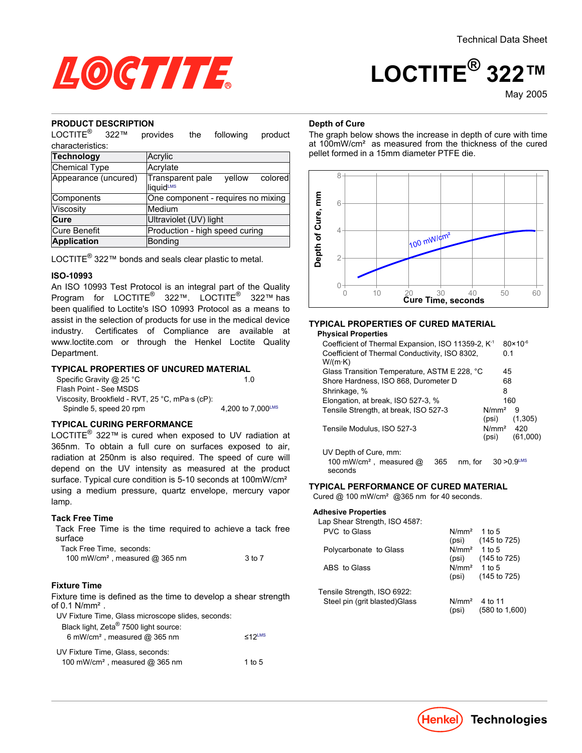

May-2005

# LOCTITE

# **PRODUCT DESCRIPTION**

LOCTITE® provides the following product characteristics:

| Acrylic                                                        |  |  |  |
|----------------------------------------------------------------|--|--|--|
| Acrylate                                                       |  |  |  |
| Transparent pale<br>vellow<br>colored<br>liquid <sup>LMS</sup> |  |  |  |
| One component - requires no mixing                             |  |  |  |
| Medium                                                         |  |  |  |
| Ultraviolet (UV) light                                         |  |  |  |
| Production - high speed curing                                 |  |  |  |
| Bonding                                                        |  |  |  |
|                                                                |  |  |  |

LOCTITE® 322™ bonds and seals clear plastic to metal.

#### **ISO-10993**

An ISO 10993 Test Protocol is an integral part of the Quality Program for LOCTITE<sup>®</sup> 322™. LOCTITE<sup>®</sup> 322™ has been qualified to Loctite's ISO 10993 Protocol as a means to assist in the selection of products for use in the medical device industry. Certificates of Compliance are available at www.loctite.com or through the Henkel Loctite Quality Department.

#### **TYPICAL PROPERTIES OF UNCURED MATERIAL**

| Specific Gravity @ 25 °C                        | 10                |
|-------------------------------------------------|-------------------|
| Flash Point - See MSDS                          |                   |
| Viscosity, Brookfield - RVT, 25 °C, mPa·s (cP): |                   |
| Spindle 5, speed 20 rpm                         | 4,200 to 7,000LMS |

### **TYPICAL CURING PERFORMANCE**

LOCTITE<sup>®</sup> 322™ is cured when exposed to UV radiation at 365nm. To obtain a full cure on surfaces exposed to air, radiation at 250nm is also required. The speed of cure will depend on the UV intensity as measured at the product surface. Typical cure condition is 5-10 seconds at 100mW/cm<sup>2</sup> using a medium pressure, quartz envelope, mercury vapor lamp.

#### **Tack Free Time**

Tack Free Time is the time required to achieve a tack free surface

| Tack Free Time, seconds:                   |        |
|--------------------------------------------|--------|
| 100 mW/cm <sup>2</sup> , measured @ 365 nm | 3 to 7 |

#### **Fixture Time**

Fixture time is defined as the time to develop a shear strength of  $0.1$  N/mm<sup>2</sup>.

| UV Fixture Time, Glass microscope slides, seconds: |           |
|----------------------------------------------------|-----------|
| Black light, Zeta <sup>®</sup> 7500 light source:  |           |
| 6 mW/cm <sup>2</sup> , measured $@$ 365 nm         | $<$ 12LMS |
| UV Fixture Time, Glass, seconds:                   |           |
| 100 mW/cm <sup>2</sup> , measured @ 365 nm         | 1 to 5    |

#### **Depth of Cure**

The graph below shows the increase in depth of cure with time at 100mW/cm² as measured from the thickness of the cured pellet formed in a 15mm diameter PTFE die.



# **TYPICAL PROPERTIES OF CURED MATERIAL**

#### **Physical Properties**

| Coefficient of Thermal Expansion, ISO 11359-2, K <sup>-1</sup>                   | $80 \times 10^{-6}$                           |
|----------------------------------------------------------------------------------|-----------------------------------------------|
| Coefficient of Thermal Conductivity, ISO 8302,                                   | 0.1                                           |
| W/(m·K)                                                                          |                                               |
| Glass Transition Temperature, ASTM E 228, °C                                     | 45                                            |
| Shore Hardness, ISO 868, Durometer D                                             | 68                                            |
| Shrinkage, %                                                                     | 8                                             |
| Elongation, at break, ISO 527-3, %                                               | 160                                           |
| Tensile Strength, at break, ISO 527-3                                            | N/mm <sup>2</sup><br>9<br>(1,305)<br>(psi)    |
| Tensile Modulus, ISO 527-3                                                       | N/mm <sup>2</sup><br>420<br>(61,000)<br>(psi) |
| UV Depth of Cure, mm:<br>100 mW/cm <sup>2</sup> , measured $@$<br>365<br>seconds | $30 > 0.9$ <sup>LMS</sup><br>nm. for          |

#### **TYPICAL PERFORMANCE OF CURED MATERIAL**

Cured @ 100 mW/cm² @365 nm for 40 seconds.

#### **Adhesive Properties**

| Lap Shear Strength, ISO 4587:  |                          |                           |
|--------------------------------|--------------------------|---------------------------|
| PVC to Glass                   | N/mm <sup>2</sup>        | 1 to 5                    |
|                                |                          | $(psi)$ $(145 to 725)$    |
| Polycarbonate to Glass         | N/mm <sup>2</sup> 1 to 5 |                           |
|                                | (psi)                    | (145 to 725)              |
| ABS to Glass                   | $N/mm2$ 1 to 5           |                           |
|                                | (psi)                    | (145 to 725)              |
| Tensile Strength, ISO 6922:    |                          |                           |
| Steel pin (grit blasted) Glass | N/mm <sup>2</sup>        | 4 to 11                   |
|                                | (psi)                    | $(580 \text{ to } 1.600)$ |
|                                |                          |                           |

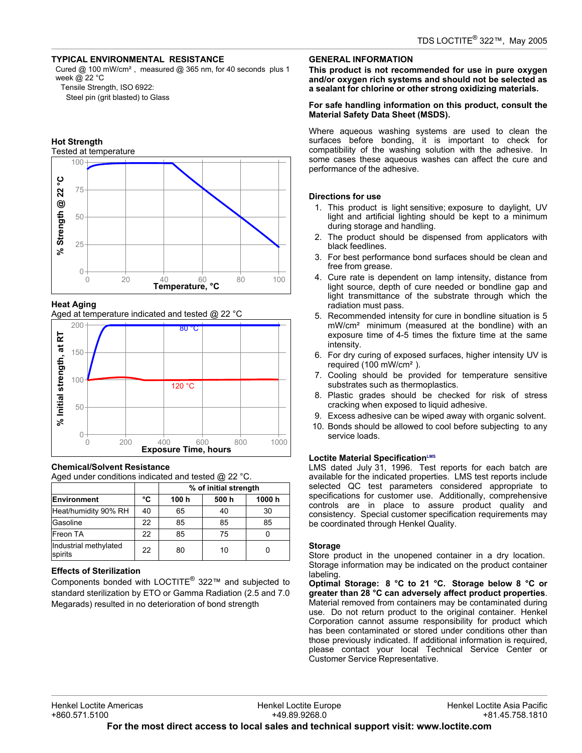#### **TYPICAL ENVIRONMENTAL RESISTANCE**

Cured @ 100 mW/cm², measured @ 365 nm, for 40 seconds plus 1 week @ 22 °C

Tensile Strength, ISO 6922:

Steel pin (grit blasted) to Glass

#### **Hot Strength**



#### **Heat Aging**

Aged at temperature indicated and tested @ 22 °C



#### **Chemical/Solvent Resistance**

Aged under conditions indicated and tested @ 22 °C.

|                                  |    | % of initial strength |       |        |
|----------------------------------|----|-----------------------|-------|--------|
| <b>Environment</b>               | °C | 100 h                 | 500 h | 1000 h |
| Heat/humidity 90% RH             | 40 | 65                    | 40    | 30     |
| Gasoline                         | 22 | 85                    | 85    | 85     |
| Freon TA                         | 22 | 85                    | 75    |        |
| Industrial methylated<br>spirits | 22 | 80                    | 10    |        |

#### **Effects of Sterilization**

Components bonded with LOCTITE® 322™ and subjected to standard sterilization by ETO or Gamma Radiation (2.5 and 7.0 Megarads) resulted in no deterioration of bond strength

#### **GENERAL INFORMATION**

**This product is not recommended for use in pure oxygen and/or oxygen rich systems and should not be selected as a sealant for chlorine or other strong oxidizing materials.**

#### **For safe handling information on this product, consult the Material Safety Data Sheet (MSDS).**

Where aqueous washing systems are used to clean the surfaces before bonding, it is important to check for compatibility of the washing solution with the adhesive. In some cases these aqueous washes can affect the cure and performance of the adhesive.

#### **Directions for use**

- 1. This product is light sensitive; exposure to daylight, UV light and artificial lighting should be kept to a minimum during storage and handling.
- 2. The product should be dispensed from applicators with black feedlines.
- 3. For best performance bond surfaces should be clean and free from grease.
- 4. Cure rate is dependent on lamp intensity, distance from light source, depth of cure needed or bondline gap and light transmittance of the substrate through which the radiation must pass.
- 5. Recommended intensity for cure in bondline situation is 5 mW/cm² minimum (measured at the bondline) with an exposure time of 4-5 times the fixture time at the same intensity.
- 6. For dry curing of exposed surfaces, higher intensity UV is required (100 mW/cm²).
- 7. Cooling should be provided for temperature sensitive substrates such as thermoplastics.
- 8. Plastic grades should be checked for risk of stress cracking when exposed to liquid adhesive.
- 9. Excess adhesive can be wiped away with organic solvent.
- 10. Bonds should be allowed to cool before subjecting to any service loads.

#### **Loctite Material SpecificationLMS**

LMS dated July 31, 1996. Test reports for each batch are available for the indicated properties. LMS test reports include selected QC test parameters considered appropriate to specifications for customer use. Additionally, comprehensive controls are in place to assure product quality and consistency. Special customer specification requirements may be coordinated through Henkel Quality.

#### **Storage**

Store product in the unopened container in a dry location. Storage information may be indicated on the product container labeling.

**Optimal Storage: 8 °C to 21 °C. Storage below 8 °C or greater than 28 °C can adversely affect product properties**. Material removed from containers may be contaminated during use. Do not return product to the original container. Henkel Corporation cannot assume responsibility for product which has been contaminated or stored under conditions other than those previously indicated. If additional information is required, please contact your local Technical Service Center or Customer Service Representative.